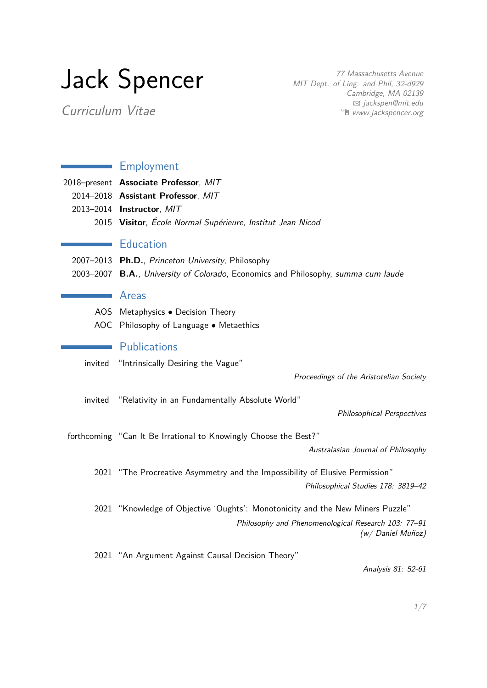# Jack Spencer

77 Massachusetts Avenue MIT Dept. of Ling. and Phil, 32-d929 Cambridge, MA 02139 B [jackspen@mit.edu](mailto:jackspen@mit.edu) <sup>•</sup> [www.jackspencer.org](http://www.jackspencer.org)

Curriculum Vitae

## **Employment** 2018–present **Associate Professor**, MIT 2014–2018 **Assistant Professor**, MIT 2013–2014 **Instructor**, MIT 2015 **Visitor**, École Normal Supérieure, Institut Jean Nicod **Education** 2007–2013 **Ph.D.**, Princeton University, Philosophy 2003–2007 **B.A.**, University of Colorado, Economics and Philosophy, summa cum laude Areas AOS Metaphysics • Decision Theory AOC Philosophy of Language • Metaethics **Publications** invited "Intrinsically Desiring the Vague" Proceedings of the Aristotelian Society invited "Relativity in an Fundamentally Absolute World" Philosophical Perspectives forthcoming "Can It Be Irrational to Knowingly Choose the Best?" Australasian Journal of Philosophy 2021 "The Procreative Asymmetry and the Impossibility of Elusive Permission" Philosophical Studies 178: 3819–42 2021 "Knowledge of Objective 'Oughts': Monotonicity and the New Miners Puzzle" Philosophy and Phenomenological Research 103: 77–91 (w/ Daniel Muñoz) 2021 "An Argument Against Causal Decision Theory" Analysis 81: 52-61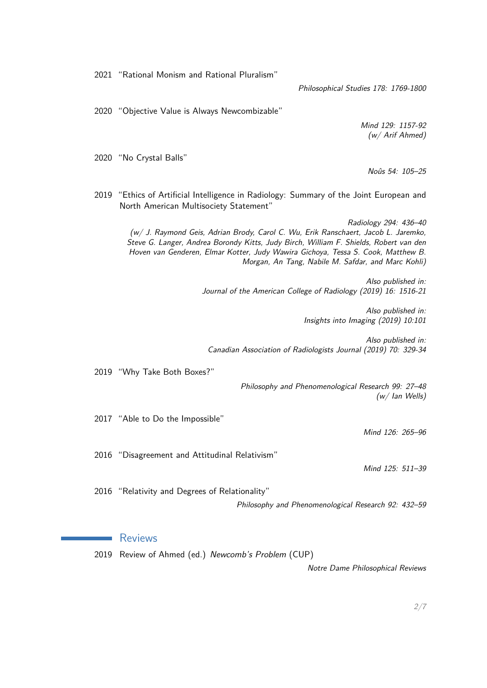2021 "Rational Monism and Rational Pluralism"

Philosophical Studies 178: 1769-1800

2020 "Objective Value is Always Newcombizable"

Mind 129: 1157-92 (w/ Arif Ahmed)

2020 "No Crystal Balls"

Noûs 54: 105–25

2019 "Ethics of Artificial Intelligence in Radiology: Summary of the Joint European and North American Multisociety Statement"

Radiology 294: 436–40 (w/ J. Raymond Geis, Adrian Brody, Carol C. Wu, Erik Ranschaert, Jacob L. Jaremko, Steve G. Langer, Andrea Borondy Kitts, Judy Birch, William F. Shields, Robert van den Hoven van Genderen, Elmar Kotter, Judy Wawira Gichoya, Tessa S. Cook, Matthew B. Morgan, An Tang, Nabile M. Safdar, and Marc Kohli)

> Also published in: Journal of the American College of Radiology (2019) 16: 1516-21

> > Also published in: Insights into Imaging (2019) 10:101

Also published in: Canadian Association of Radiologists Journal (2019) 70: 329-34

2019 "Why Take Both Boxes?"

Philosophy and Phenomenological Research 99: 27–48 (w/ Ian Wells)

2017 "Able to Do the Impossible"

Mind 126: 265–96

2016 "Disagreement and Attitudinal Relativism"

Mind 125: 511–39

2016 "Relativity and Degrees of Relationality" Philosophy and Phenomenological Research 92: 432–59

#### Reviews

2019 Review of Ahmed (ed.) Newcomb's Problem (CUP)

Notre Dame Philosophical Reviews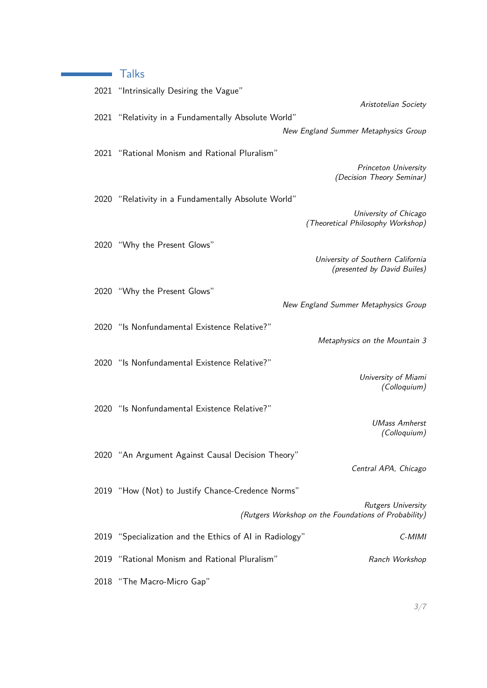## **Talks**

| 2021 "Intrinsically Desiring the Vague"                                        |                                                                  |
|--------------------------------------------------------------------------------|------------------------------------------------------------------|
|                                                                                | Aristotelian Society                                             |
| 2021 "Relativity in a Fundamentally Absolute World"                            |                                                                  |
|                                                                                | New England Summer Metaphysics Group                             |
| 2021 "Rational Monism and Rational Pluralism"                                  |                                                                  |
|                                                                                | Princeton University                                             |
|                                                                                | (Decision Theory Seminar)                                        |
|                                                                                |                                                                  |
| 2020 "Relativity in a Fundamentally Absolute World"                            |                                                                  |
|                                                                                | University of Chicago<br>(Theoretical Philosophy Workshop)       |
|                                                                                |                                                                  |
| 2020 "Why the Present Glows"                                                   |                                                                  |
|                                                                                | University of Southern California<br>(presented by David Builes) |
|                                                                                |                                                                  |
| 2020 "Why the Present Glows"                                                   |                                                                  |
|                                                                                | New England Summer Metaphysics Group                             |
| 2020 "Is Nonfundamental Existence Relative?"                                   |                                                                  |
|                                                                                | Metaphysics on the Mountain 3                                    |
|                                                                                |                                                                  |
| 2020 "Is Nonfundamental Existence Relative?"                                   |                                                                  |
|                                                                                | University of Miami<br>(Colloquium)                              |
|                                                                                |                                                                  |
| 2020 "Is Nonfundamental Existence Relative?"                                   |                                                                  |
|                                                                                | <b>UMass Amherst</b>                                             |
|                                                                                | (Colloquium)                                                     |
| 2020 "An Argument Against Causal Decision Theory"                              |                                                                  |
|                                                                                | Central APA, Chicago                                             |
|                                                                                |                                                                  |
| 2019 "How (Not) to Justify Chance-Credence Norms"<br><b>Rutgers University</b> |                                                                  |
| (Rutgers Workshop on the Foundations of Probability)                           |                                                                  |
| 2019 "Specialization and the Ethics of AI in Radiology"                        | $C-MIMI$                                                         |
| 2019 "Rational Monism and Rational Pluralism"                                  | Ranch Workshop                                                   |
| 2018 "The Macro-Micro Gap"                                                     |                                                                  |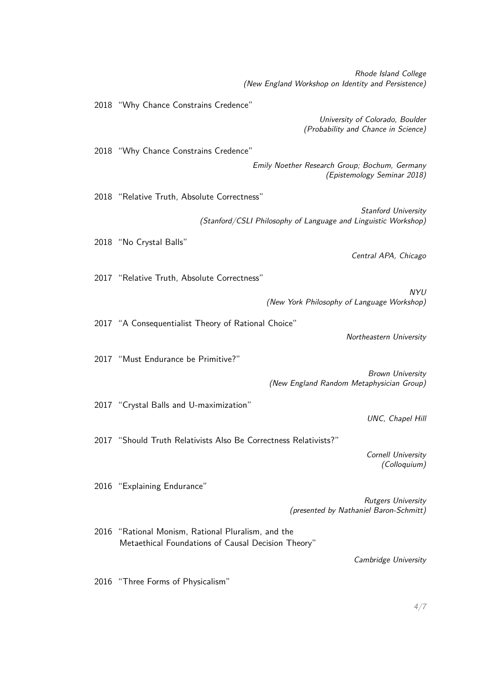Rhode Island College (New England Workshop on Identity and Persistence)

University of Colorado, Boulder (Probability and Chance in Science) 2018 "Why Chance Constrains Credence" Emily Noether Research Group; Bochum, Germany (Epistemology Seminar 2018) 2018 "Relative Truth, Absolute Correctness" Stanford University (Stanford/CSLI Philosophy of Language and Linguistic Workshop) 2018 "No Crystal Balls" Central APA, Chicago 2017 "Relative Truth, Absolute Correctness" NYU (New York Philosophy of Language Workshop) 2017 "A Consequentialist Theory of Rational Choice" Northeastern University 2017 "Must Endurance be Primitive?" Brown University (New England Random Metaphysician Group) 2017 "Crystal Balls and U-maximization" UNC, Chapel Hill 2017 "Should Truth Relativists Also Be Correctness Relativists?" Cornell University (Colloquium) 2016 "Explaining Endurance" Rutgers University (presented by Nathaniel Baron-Schmitt) 2016 "Rational Monism, Rational Pluralism, and the Metaethical Foundations of Causal Decision Theory"

Cambridge University

2016 "Three Forms of Physicalism"

2018 "Why Chance Constrains Credence"

4[/7](#page-6-0)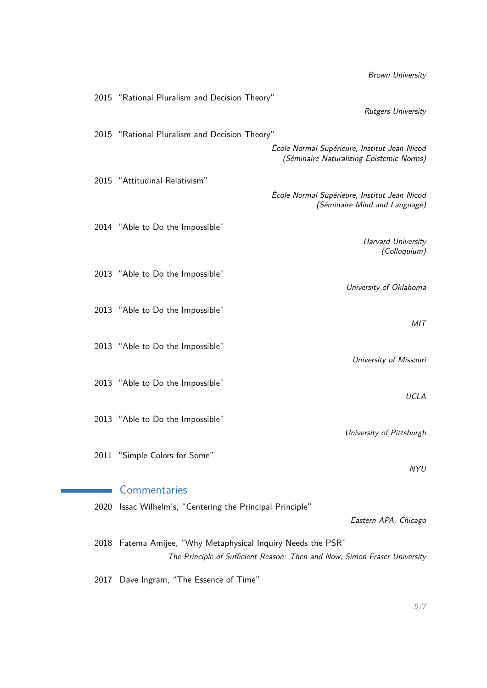2015 "Rational Pluralism and Decision Theory" Rutgers University 2015 "Rational Pluralism and Decision Theory" École Normal Supérieure, Institut Jean Nicod (Séminaire Naturalizing Epistemic Norms) 2015 "Attitudinal Relativism" École Normal Supérieure, Institut Jean Nicod (Séminaire Mind and Language) 2014 "Able to Do the Impossible" Harvard University (Colloquium) 2013 "Able to Do the Impossible" University of Oklahoma 2013 "Able to Do the Impossible" MIT 2013 "Able to Do the Impossible" University of Missouri 2013 "Able to Do the Impossible" UCLA 2013 "Able to Do the Impossible" University of Pittsburgh 2011 "Simple Colors for Some" NYU Commentaries 2020 Issac Wilhelm's, "Centering the Principal Principle" Eastern APA, Chicago 2018 Fatema Amijee, "Why Metaphysical Inquiry Needs the PSR"

The Principle of Sufficient Reason: Then and Now, Simon Fraser University

2017 Dave Ingram, "The Essence of Time"

Brown University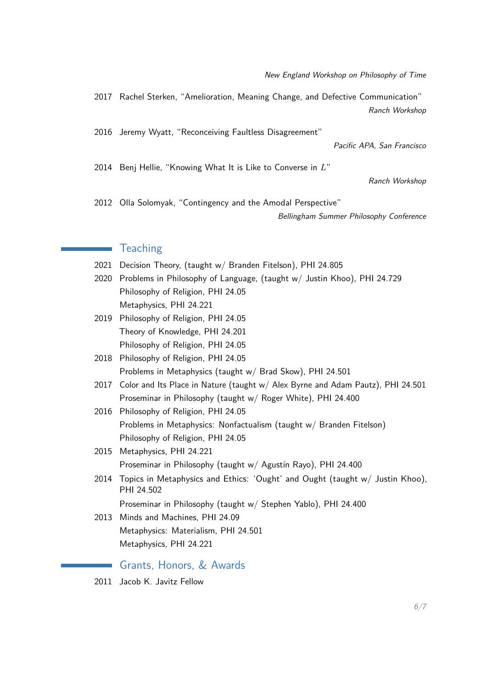2017 Rachel Sterken, "Amelioration, Meaning Change, and Defective Communication" Ranch Workshop

2016 Jeremy Wyatt, "Reconceiving Faultless Disagreement"

Pacific APA, San Francisco

2014 Benj Hellie, "Knowing What It is Like to Converse in *L*"

Ranch Workshop

2012 Olla Solomyak, "Contingency and the Amodal Perspective"

Bellingham Summer Philosophy Conference

### **Teaching**

2021 Decision Theory, (taught w/ Branden Fitelson), PHI 24.805

- 2020 Problems in Philosophy of Language, (taught w/ Justin Khoo), PHI 24.729 Philosophy of Religion, PHI 24.05 Metaphysics, PHI 24.221
- 2019 Philosophy of Religion, PHI 24.05 Theory of Knowledge, PHI 24.201 Philosophy of Religion, PHI 24.05
- 2018 Philosophy of Religion, PHI 24.05 Problems in Metaphysics (taught w/ Brad Skow), PHI 24.501
- 2017 Color and Its Place in Nature (taught w/ Alex Byrne and Adam Pautz), PHI 24.501 Proseminar in Philosophy (taught w/ Roger White), PHI 24.400
- 2016 Philosophy of Religion, PHI 24.05 Problems in Metaphysics: Nonfactualism (taught w/ Branden Fitelson) Philosophy of Religion, PHI 24.05
- 2015 Metaphysics, PHI 24.221 Proseminar in Philosophy (taught w/ Agustín Rayo), PHI 24.400
- 2014 Topics in Metaphysics and Ethics: 'Ought' and Ought (taught w/ Justin Khoo), PHI 24.502

Proseminar in Philosophy (taught w/ Stephen Yablo), PHI 24.400

2013 Minds and Machines, PHI 24.09 Metaphysics: Materialism, PHI 24.501 Metaphysics, PHI 24.221

Grants, Honors, & Awards

2011 Jacob K. Javitz Fellow